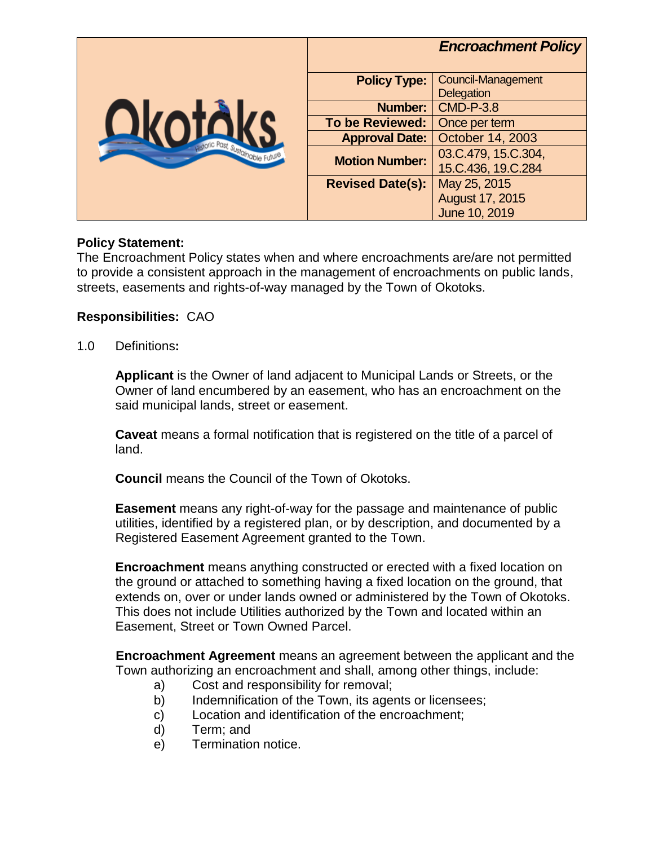|                            |                         | <b>Encroachment Policy</b>                     |
|----------------------------|-------------------------|------------------------------------------------|
| C Past, Sustainable Future | <b>Policy Type:</b>     | <b>Council-Management</b><br><b>Delegation</b> |
|                            | Number:                 | <b>CMD-P-3.8</b>                               |
|                            | <b>To be Reviewed:</b>  | Once per term                                  |
|                            | <b>Approval Date:</b>   | October 14, 2003                               |
|                            | <b>Motion Number:</b>   | 03.C.479, 15.C.304,                            |
|                            |                         | 15.C.436, 19.C.284                             |
|                            | <b>Revised Date(s):</b> | May 25, 2015                                   |
|                            |                         | August 17, 2015                                |
|                            |                         | June 10, 2019                                  |

## **Policy Statement:**

The Encroachment Policy states when and where encroachments are/are not permitted to provide a consistent approach in the management of encroachments on public lands, streets, easements and rights-of-way managed by the Town of Okotoks.

## **Responsibilities:** CAO

1.0 Definitions**:**

**Applicant** is the Owner of land adjacent to Municipal Lands or Streets, or the Owner of land encumbered by an easement, who has an encroachment on the said municipal lands, street or easement.

**Caveat** means a formal notification that is registered on the title of a parcel of land.

**Council** means the Council of the Town of Okotoks.

**Easement** means any right-of-way for the passage and maintenance of public utilities, identified by a registered plan, or by description, and documented by a Registered Easement Agreement granted to the Town.

**Encroachment** means anything constructed or erected with a fixed location on the ground or attached to something having a fixed location on the ground, that extends on, over or under lands owned or administered by the Town of Okotoks. This does not include Utilities authorized by the Town and located within an Easement, Street or Town Owned Parcel.

**Encroachment Agreement** means an agreement between the applicant and the Town authorizing an encroachment and shall, among other things, include:

- a) Cost and responsibility for removal;
- b) Indemnification of the Town, its agents or licensees;
- c) Location and identification of the encroachment;
- d) Term; and
- e) Termination notice.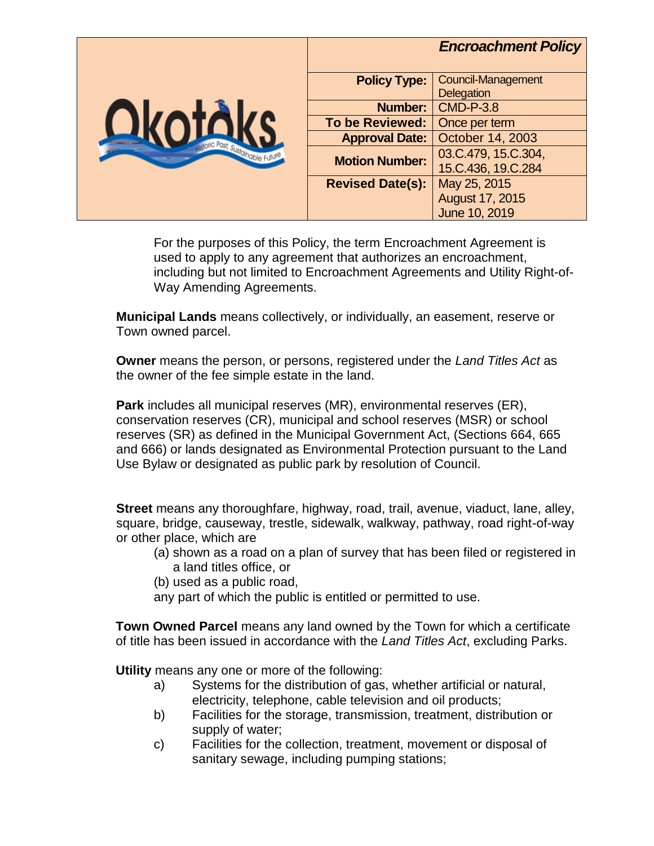

For the purposes of this Policy, the term Encroachment Agreement is used to apply to any agreement that authorizes an encroachment, including but not limited to Encroachment Agreements and Utility Right-of-Way Amending Agreements.

**Municipal Lands** means collectively, or individually, an easement, reserve or Town owned parcel.

**Owner** means the person, or persons, registered under the *Land Titles Act* as the owner of the fee simple estate in the land.

**Park** includes all municipal reserves (MR), environmental reserves (ER), conservation reserves (CR), municipal and school reserves (MSR) or school reserves (SR) as defined in the Municipal Government Act, (Sections 664, 665 and 666) or lands designated as Environmental Protection pursuant to the Land Use Bylaw or designated as public park by resolution of Council.

**Street** means any thoroughfare, highway, road, trail, avenue, viaduct, lane, alley, square, bridge, causeway, trestle, sidewalk, walkway, pathway, road right-of-way or other place, which are

- (a) shown as a road on a plan of survey that has been filed or registered in a land titles office, or
- (b) used as a public road,
- any part of which the public is entitled or permitted to use.

**Town Owned Parcel** means any land owned by the Town for which a certificate of title has been issued in accordance with the *Land Titles Act*, excluding Parks.

**Utility** means any one or more of the following:

- a) Systems for the distribution of gas, whether artificial or natural, electricity, telephone, cable television and oil products;
- b) Facilities for the storage, transmission, treatment, distribution or supply of water;
- c) Facilities for the collection, treatment, movement or disposal of sanitary sewage, including pumping stations;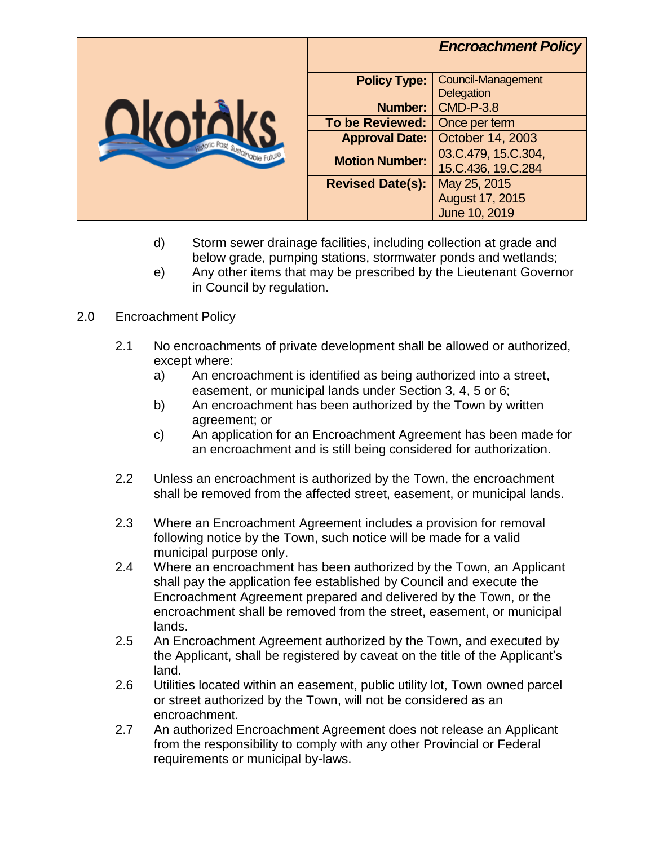

- d) Storm sewer drainage facilities, including collection at grade and below grade, pumping stations, stormwater ponds and wetlands;
- e) Any other items that may be prescribed by the Lieutenant Governor in Council by regulation.

## 2.0 Encroachment Policy

- 2.1 No encroachments of private development shall be allowed or authorized, except where:
	- a) An encroachment is identified as being authorized into a street, easement, or municipal lands under Section 3, 4, 5 or 6;
	- b) An encroachment has been authorized by the Town by written agreement; or
	- c) An application for an Encroachment Agreement has been made for an encroachment and is still being considered for authorization.
- 2.2 Unless an encroachment is authorized by the Town, the encroachment shall be removed from the affected street, easement, or municipal lands.
- 2.3 Where an Encroachment Agreement includes a provision for removal following notice by the Town, such notice will be made for a valid municipal purpose only.
- 2.4 Where an encroachment has been authorized by the Town, an Applicant shall pay the application fee established by Council and execute the Encroachment Agreement prepared and delivered by the Town, or the encroachment shall be removed from the street, easement, or municipal lands.
- 2.5 An Encroachment Agreement authorized by the Town, and executed by the Applicant, shall be registered by caveat on the title of the Applicant's land.
- 2.6 Utilities located within an easement, public utility lot, Town owned parcel or street authorized by the Town, will not be considered as an encroachment.
- 2.7 An authorized Encroachment Agreement does not release an Applicant from the responsibility to comply with any other Provincial or Federal requirements or municipal by-laws.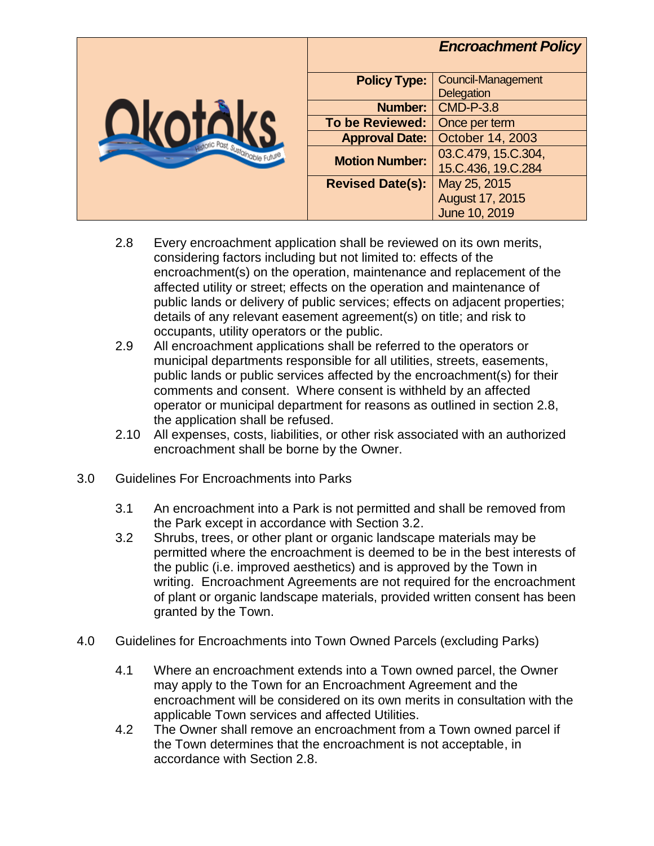|                              |                         | <b>Encroachment Policy</b>                     |
|------------------------------|-------------------------|------------------------------------------------|
| Jic Past, Sustainable Future | <b>Policy Type:</b>     | <b>Council-Management</b><br><b>Delegation</b> |
|                              | <b>Number:</b>          | <b>CMD-P-3.8</b>                               |
|                              | <b>To be Reviewed:</b>  | Once per term                                  |
|                              | <b>Approval Date:</b>   | October 14, 2003                               |
|                              | <b>Motion Number:</b>   | 03.C.479, 15.C.304,<br>15.C.436, 19.C.284      |
|                              | <b>Revised Date(s):</b> | May 25, 2015                                   |
|                              |                         | August 17, 2015                                |
|                              |                         | June 10, 2019                                  |

- 2.8 Every encroachment application shall be reviewed on its own merits, considering factors including but not limited to: effects of the encroachment(s) on the operation, maintenance and replacement of the affected utility or street; effects on the operation and maintenance of public lands or delivery of public services; effects on adjacent properties; details of any relevant easement agreement(s) on title; and risk to occupants, utility operators or the public.
- 2.9 All encroachment applications shall be referred to the operators or municipal departments responsible for all utilities, streets, easements, public lands or public services affected by the encroachment(s) for their comments and consent. Where consent is withheld by an affected operator or municipal department for reasons as outlined in section 2.8, the application shall be refused.
- 2.10 All expenses, costs, liabilities, or other risk associated with an authorized encroachment shall be borne by the Owner.
- 3.0 Guidelines For Encroachments into Parks
	- 3.1 An encroachment into a Park is not permitted and shall be removed from the Park except in accordance with Section 3.2.
	- 3.2 Shrubs, trees, or other plant or organic landscape materials may be permitted where the encroachment is deemed to be in the best interests of the public (i.e. improved aesthetics) and is approved by the Town in writing. Encroachment Agreements are not required for the encroachment of plant or organic landscape materials, provided written consent has been granted by the Town.
- 4.0 Guidelines for Encroachments into Town Owned Parcels (excluding Parks)
	- 4.1 Where an encroachment extends into a Town owned parcel, the Owner may apply to the Town for an Encroachment Agreement and the encroachment will be considered on its own merits in consultation with the applicable Town services and affected Utilities.
	- 4.2 The Owner shall remove an encroachment from a Town owned parcel if the Town determines that the encroachment is not acceptable, in accordance with Section 2.8.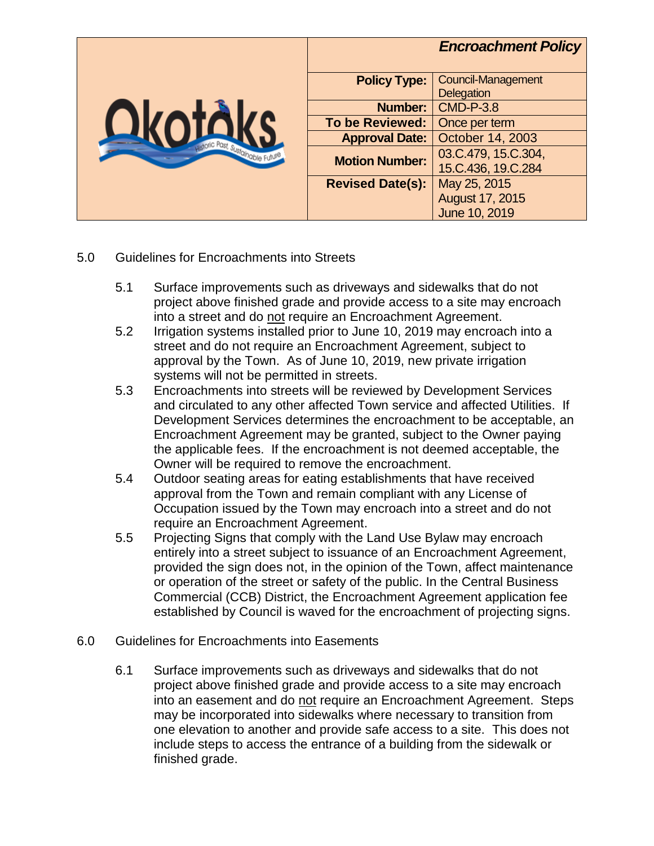|                          |                         | <b>Encroachment Policy</b>                     |
|--------------------------|-------------------------|------------------------------------------------|
| Past, Sustainable Future | <b>Policy Type:</b>     | <b>Council-Management</b><br><b>Delegation</b> |
|                          | Number:                 | <b>CMD-P-3.8</b>                               |
|                          | <b>To be Reviewed:</b>  | Once per term                                  |
|                          | <b>Approval Date:</b>   | October 14, 2003                               |
|                          | <b>Motion Number:</b>   | 03.C.479, 15.C.304,<br>15.C.436, 19.C.284      |
|                          | <b>Revised Date(s):</b> | May 25, 2015                                   |
|                          |                         | August 17, 2015<br>June 10, 2019               |

- 5.0 Guidelines for Encroachments into Streets
	- 5.1 Surface improvements such as driveways and sidewalks that do not project above finished grade and provide access to a site may encroach into a street and do not require an Encroachment Agreement.
	- 5.2 Irrigation systems installed prior to June 10, 2019 may encroach into a street and do not require an Encroachment Agreement, subject to approval by the Town. As of June 10, 2019, new private irrigation systems will not be permitted in streets.
	- 5.3 Encroachments into streets will be reviewed by Development Services and circulated to any other affected Town service and affected Utilities. If Development Services determines the encroachment to be acceptable, an Encroachment Agreement may be granted, subject to the Owner paying the applicable fees. If the encroachment is not deemed acceptable, the Owner will be required to remove the encroachment.
	- 5.4 Outdoor seating areas for eating establishments that have received approval from the Town and remain compliant with any License of Occupation issued by the Town may encroach into a street and do not require an Encroachment Agreement.
	- 5.5 Projecting Signs that comply with the Land Use Bylaw may encroach entirely into a street subject to issuance of an Encroachment Agreement, provided the sign does not, in the opinion of the Town, affect maintenance or operation of the street or safety of the public. In the Central Business Commercial (CCB) District, the Encroachment Agreement application fee established by Council is waved for the encroachment of projecting signs.
- 6.0 Guidelines for Encroachments into Easements
	- 6.1 Surface improvements such as driveways and sidewalks that do not project above finished grade and provide access to a site may encroach into an easement and do not require an Encroachment Agreement. Steps may be incorporated into sidewalks where necessary to transition from one elevation to another and provide safe access to a site. This does not include steps to access the entrance of a building from the sidewalk or finished grade.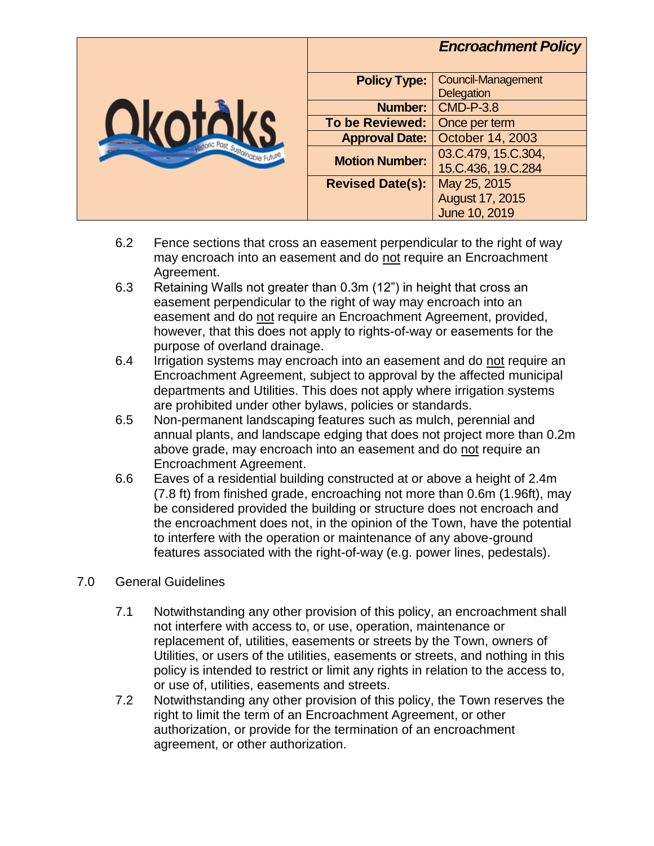

- 6.2 Fence sections that cross an easement perpendicular to the right of way may encroach into an easement and do not require an Encroachment Agreement.
- 6.3 Retaining Walls not greater than 0.3m (12") in height that cross an easement perpendicular to the right of way may encroach into an easement and do not require an Encroachment Agreement, provided, however, that this does not apply to rights-of-way or easements for the purpose of overland drainage.
- 6.4 Irrigation systems may encroach into an easement and do not require an Encroachment Agreement, subject to approval by the affected municipal departments and Utilities. This does not apply where irrigation systems are prohibited under other bylaws, policies or standards.
- 6.5 Non-permanent landscaping features such as mulch, perennial and annual plants, and landscape edging that does not project more than 0.2m above grade, may encroach into an easement and do not require an Encroachment Agreement.
- 6.6 Eaves of a residential building constructed at or above a height of 2.4m (7.8 ft) from finished grade, encroaching not more than 0.6m (1.96ft), may be considered provided the building or structure does not encroach and the encroachment does not, in the opinion of the Town, have the potential to interfere with the operation or maintenance of any above-ground features associated with the right-of-way (e.g. power lines, pedestals).
- 7.0 General Guidelines
	- 7.1 Notwithstanding any other provision of this policy, an encroachment shall not interfere with access to, or use, operation, maintenance or replacement of, utilities, easements or streets by the Town, owners of Utilities, or users of the utilities, easements or streets, and nothing in this policy is intended to restrict or limit any rights in relation to the access to, or use of, utilities, easements and streets.
	- 7.2 Notwithstanding any other provision of this policy, the Town reserves the right to limit the term of an Encroachment Agreement, or other authorization, or provide for the termination of an encroachment agreement, or other authorization.